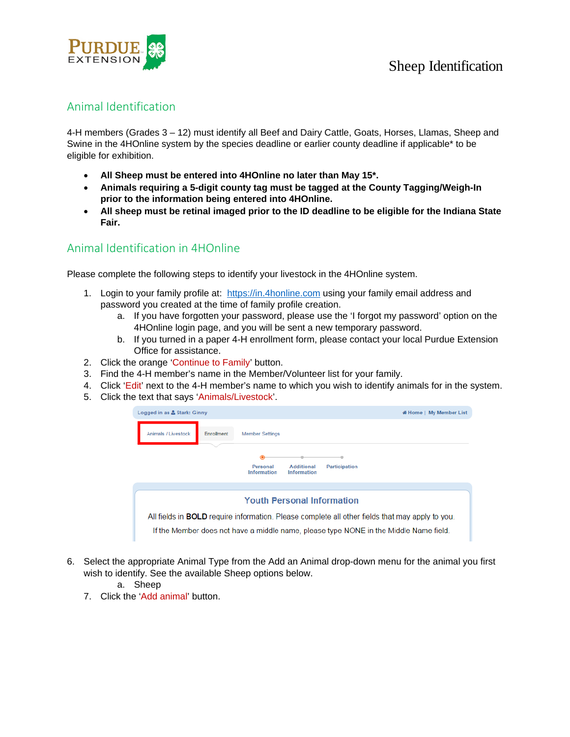

## Animal Identification

4-H members (Grades 3 – 12) must identify all Beef and Dairy Cattle, Goats, Horses, Llamas, Sheep and Swine in the 4HOnline system by the species deadline or earlier county deadline if applicable\* to be eligible for exhibition.

- **All Sheep must be entered into 4HOnline no later than May 15\*.**
- **Animals requiring a 5-digit county tag must be tagged at the County Tagging/Weigh-In prior to the information being entered into 4HOnline.**
- **All sheep must be retinal imaged prior to the ID deadline to be eligible for the Indiana State Fair.**

### Animal Identification in 4HOnline

Please complete the following steps to identify your livestock in the 4HOnline system.

- 1. Login to your family profile at: https://in.4honline.com using your family email address and password you created at the time of family profile creation.
	- a. If you have forgotten your password, please use the 'I forgot my password' option on the 4HOnline login page, and you will be sent a new temporary password.
	- b. If you turned in a paper 4-H enrollment form, please contact your local Purdue Extension Office for assistance.
- 2. Click the orange 'Continue to Family' button.
- 3. Find the 4-H member's name in the Member/Volunteer list for your family.
- 4. Click 'Edit' next to the 4-H member's name to which you wish to identify animals for in the system.
- 5. Click the text that says 'Animals/Livestock'.



- 6. Select the appropriate Animal Type from the Add an Animal drop-down menu for the animal you first wish to identify. See the available Sheep options below.
	- a. Sheep
	- 7. Click the 'Add animal' button.